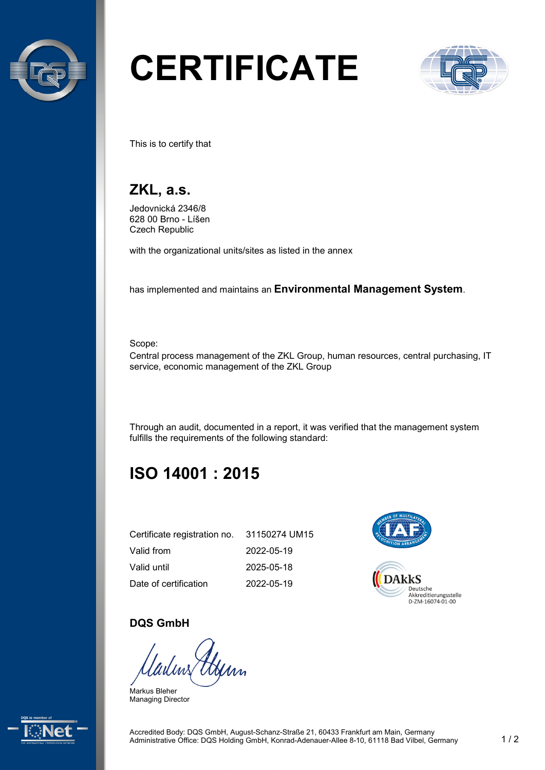

# **CERTIFICATE**



This is to certify that

## **ZKL, a.s.**

Jedovnická 2346/8 628 00 Brno - Líšen Czech Republic

with the organizational units/sites as listed in the annex

has implemented and maintains an **Environmental Management System**.

Scope:

Central process management of the ZKL Group, human resources, central purchasing, IT service, economic management of the ZKL Group

Through an audit, documented in a report, it was verified that the management system fulfills the requirements of the following standard:

# **ISO 14001 : 2015**

| Certificate registration no. 31150274 UM15 |            |
|--------------------------------------------|------------|
| Valid from                                 | 2022-05-19 |
| Valid until                                | 2025-05-18 |
| Date of certification                      | 2022-05-19 |



#### **DQS GmbH**

Markus Bleher Managing Director